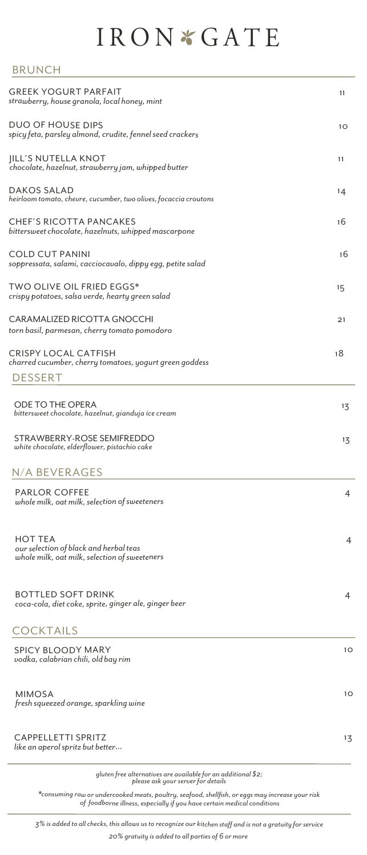## IRON \* GATE

## BRUNCH

| <b>GREEK YOGURT PARFAIT</b><br>strawberry, house granola, local honey, mint                               | 11 |
|-----------------------------------------------------------------------------------------------------------|----|
| <b>DUO OF HOUSE DIPS</b><br>spicy feta, parsley almond, crudite, fennel seed crackers                     | 10 |
| <b>IILL'S NUTELLA KNOT</b><br>chocolate, hazelnut, strawberry jam, whipped butter                         | 11 |
| <b>DAKOS SALAD</b><br>heirloom tomato, chevre, cucumber, two olives, focaccia croutons                    | 14 |
| <b>CHEF'S RICOTTA PANCAKES</b><br>bittersweet chocolate, hazelnuts, whipped mascarpone                    | 16 |
| <b>COLD CUT PANINI</b><br>soppressata, salami, cacciocavalo, dippy egg, petite salad                      | 16 |
| <b>TWO OLIVE OIL FRIED EGGS*</b><br>crispy potatoes, salsa verde, hearty green salad                      | 15 |
| CARAMALIZED RICOTTA GNOCCHI<br>torn basil, parmesan, cherry tomato pomodoro                               | 21 |
| <b>CRISPY LOCAL CATFISH</b><br>charred cucumber, cherry tomatoes, yogurt green goddess<br><b>DESSERT</b>  | 18 |
| ODE TO THE OPERA<br>bittersweet chocolate, hazelnut, gianduja ice cream                                   | 13 |
| STRAWBERRY-ROSE SEMIFREDDO<br>white chocolate, elderflower, pistachio cake                                | 13 |
| N/A BEVERAGES                                                                                             |    |
| <b>PARLOR COFFEE</b><br>whole milk, oat milk, selection of sweeteners                                     | 4  |
| <b>HOT TEA</b><br>our selection of black and herbal teas<br>whole milk, oat milk, selection of sweeteners | 4  |
| <b>BOTTLED SOFT DRINK</b><br>coca-cola, diet coke, sprite, ginger ale, ginger beer                        | 4  |
| <b>COCKTAILS</b>                                                                                          |    |
| <b>SPICY BLOODY MARY</b><br>vodka, calabrian chili, old bay rim                                           | 10 |
| <b>MIMOSA</b><br>fresh squeezed orange, sparkling wine                                                    | 10 |
| <b>CAPPELLETTI SPRITZ</b><br>like an aperol spritz but better                                             | 13 |
| gluten free alternatives are available for an additional \$2;<br>please ask your server for details       |    |

*\*consuming raw or undercooked meats, poultry, seafood, shellfish, or eggs may increase your risk of foodborne illness, especially if you have certain medical conditions*

*3% is added to all checks, this allows us to recognize our kitchen staff and is not a gratuity for service 20% gratuity is added to all parties of 6 or more*